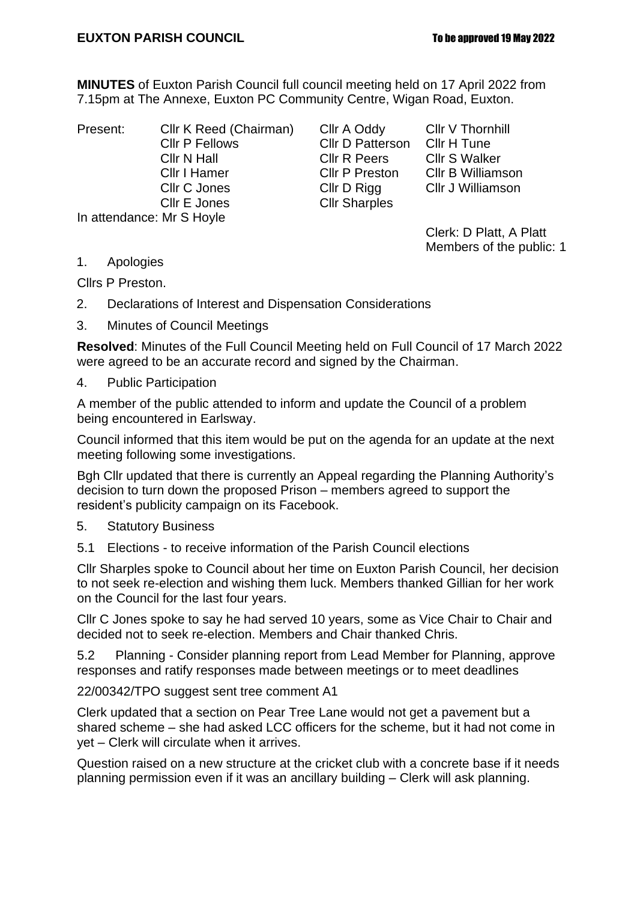## **EUXTON PARISH COUNCIL To be approved 19 May 2022**

**MINUTES** of Euxton Parish Council full council meeting held on 17 April 2022 from 7.15pm at The Annexe, Euxton PC Community Centre, Wigan Road, Euxton.

Cllr P Fellows Cllr D Patterson<br>Cllr N Hall Cllr R Peers Cllr N Hall Cllr R Peers Cllr S Walker<br>
Cllr I Hamer Cllr P Preston Cllr B Williamson Cllr C Jones Cllr D Rigg Cllr J Williamson Cllr E Jones Cllr Sharples In attendance: Mr S Hoyle

Present: Cllr K Reed (Chairman) Cllr A Oddy Cllr V Thornhill<br>Cllr P Fellows Cllr D Patterson Cllr H Tune Cllr P Preston

Clerk: D Platt, A Platt Members of the public: 1

1. Apologies

Cllrs P Preston.

- 2. Declarations of Interest and Dispensation Considerations
- 3. Minutes of Council Meetings

**Resolved**: Minutes of the Full Council Meeting held on Full Council of 17 March 2022 were agreed to be an accurate record and signed by the Chairman.

4. Public Participation

A member of the public attended to inform and update the Council of a problem being encountered in Earlsway.

Council informed that this item would be put on the agenda for an update at the next meeting following some investigations.

Bgh Cllr updated that there is currently an Appeal regarding the Planning Authority's decision to turn down the proposed Prison – members agreed to support the resident's publicity campaign on its Facebook.

- 5. Statutory Business
- 5.1 Elections to receive information of the Parish Council elections

Cllr Sharples spoke to Council about her time on Euxton Parish Council, her decision to not seek re-election and wishing them luck. Members thanked Gillian for her work on the Council for the last four years.

Cllr C Jones spoke to say he had served 10 years, some as Vice Chair to Chair and decided not to seek re-election. Members and Chair thanked Chris.

5.2 Planning - Consider planning report from Lead Member for Planning, approve responses and ratify responses made between meetings or to meet deadlines

22/00342/TPO suggest sent tree comment A1

Clerk updated that a section on Pear Tree Lane would not get a pavement but a shared scheme – she had asked LCC officers for the scheme, but it had not come in yet – Clerk will circulate when it arrives.

Question raised on a new structure at the cricket club with a concrete base if it needs planning permission even if it was an ancillary building – Clerk will ask planning.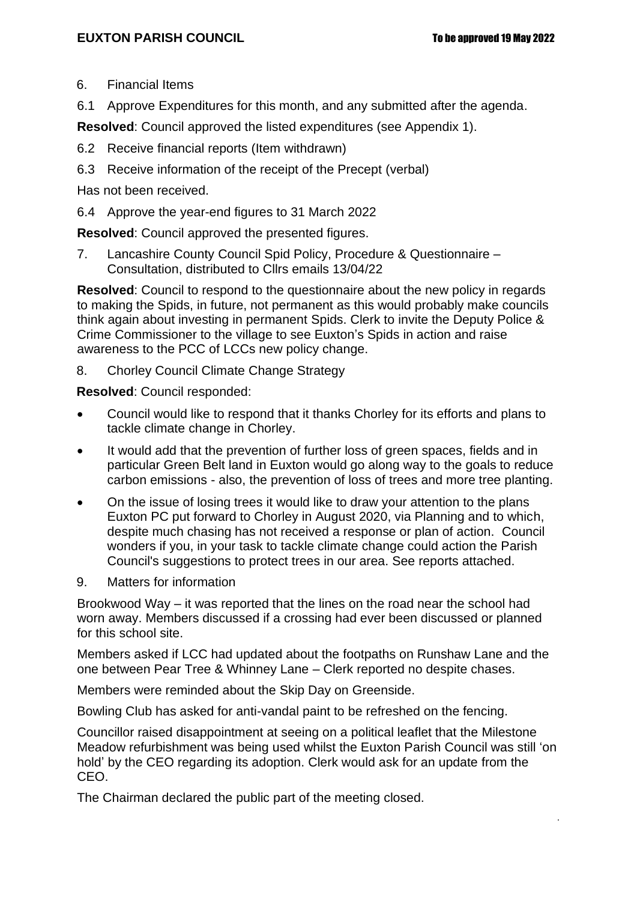.

- 6. Financial Items
- 6.1 Approve Expenditures for this month, and any submitted after the agenda.

**Resolved**: Council approved the listed expenditures (see Appendix 1).

- 6.2 Receive financial reports (Item withdrawn)
- 6.3 Receive information of the receipt of the Precept (verbal)
- Has not been received.
- 6.4 Approve the year-end figures to 31 March 2022

**Resolved**: Council approved the presented figures.

7. Lancashire County Council Spid Policy, Procedure & Questionnaire – Consultation, distributed to Cllrs emails 13/04/22

**Resolved**: Council to respond to the questionnaire about the new policy in regards to making the Spids, in future, not permanent as this would probably make councils think again about investing in permanent Spids. Clerk to invite the Deputy Police & Crime Commissioner to the village to see Euxton's Spids in action and raise awareness to the PCC of LCCs new policy change.

8. Chorley Council Climate Change Strategy

**Resolved**: Council responded:

- Council would like to respond that it thanks Chorley for its efforts and plans to tackle climate change in Chorley.
- It would add that the prevention of further loss of green spaces, fields and in particular Green Belt land in Euxton would go along way to the goals to reduce carbon emissions - also, the prevention of loss of trees and more tree planting.
- On the issue of losing trees it would like to draw your attention to the plans Euxton PC put forward to Chorley in August 2020, via Planning and to which, despite much chasing has not received a response or plan of action. Council wonders if you, in your task to tackle climate change could action the Parish Council's suggestions to protect trees in our area. See reports attached.
- 9. Matters for information

Brookwood Way – it was reported that the lines on the road near the school had worn away. Members discussed if a crossing had ever been discussed or planned for this school site.

Members asked if LCC had updated about the footpaths on Runshaw Lane and the one between Pear Tree & Whinney Lane – Clerk reported no despite chases.

Members were reminded about the Skip Day on Greenside.

Bowling Club has asked for anti-vandal paint to be refreshed on the fencing.

Councillor raised disappointment at seeing on a political leaflet that the Milestone Meadow refurbishment was being used whilst the Euxton Parish Council was still 'on hold' by the CEO regarding its adoption. Clerk would ask for an update from the CEO.

The Chairman declared the public part of the meeting closed.